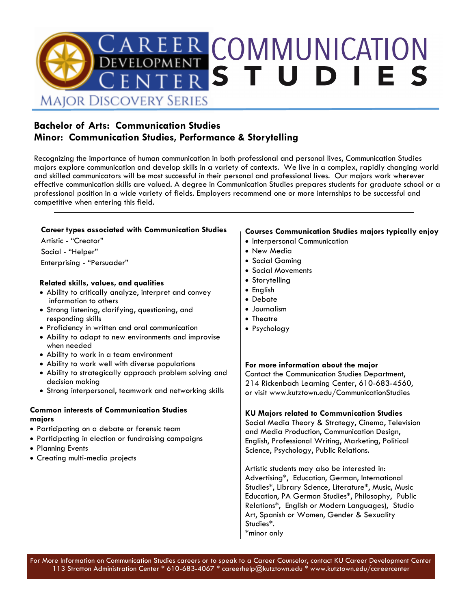

### **Bachelor of Arts: Communication Studies Minor: Communication Studies, Performance & Storytelling**

Recognizing the importance of human communication in both professional and personal lives, Communication Studies majors explore communication and develop skills in a variety of contexts. We live in a complex, rapidly changing world and skilled communicators will be most successful in their personal and professional lives. Our majors work wherever effective communication skills are valued. A degree in Communication Studies prepares students for graduate school or a professional position in a wide variety of fields. Employers recommend one or more internships to be successful and competitive when entering this field.

### **Career types associated with Communication Studies**

Artistic - "Creator" Social - "Helper"

Enterprising - "Persuader"

### **Related skills, values, and qualities**

- Ability to critically analyze, interpret and convey information to others
- Strong listening, clarifying, questioning, and responding skills
- Proficiency in written and oral communication
- Ability to adapt to new environments and improvise when needed
- Ability to work in a team environment
- Ability to work well with diverse populations
- Ability to strategically approach problem solving and decision making
- Strong interpersonal, teamwork and networking skills

### **Common interests of Communication Studies majors**

- Participating on a debate or forensic team
- Participating in election or fundraising campaigns
- Planning Events
- Creating multi-media projects

### **Courses Communication Studies majors typically enjoy**

- Interpersonal Communication
- New Media
- Social Gaming
- Social Movements
- Storytelling
- English
- Debate
- Journalism
- Theatre
- Psychology

### **For more information about the major**

Contact the Communication Studies Department, 214 Rickenbach Learning Center, 610-683-4560, or visit www.kutztown.edu/CommunicationStudies

### **KU Majors related to Communication Studies**

Social Media Theory & Strategy, Cinema, Television and Media Production, Communication Design, English, Professional Writing, Marketing, Political Science, Psychology, Public Relations.

Artistic students may also be interested in: Advertising\*, Education, German, International Studies\*, Library Science, Literature\*, Music, Music Education, PA German Studies\*, Philosophy, Public Relations\*, English or Modern Languages), Studio Art, Spanish or Women, Gender & Sexuality Studies\*. \*minor only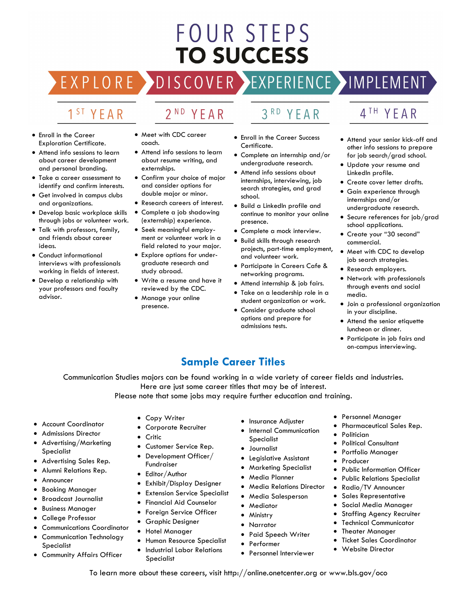# **FOUR STEPS TO SUCCESS**

## DISCOVER EXPERIENCE MOPLEMENT

2<sup>ND</sup> YEAR

## 1<sup>ST</sup> YEAR

EXPLORE >

- Enroll in the Career Exploration Certificate.
- Attend info sessions to learn about career development and personal branding.
- Take a career assessment to identify and confirm interests.
- Get involved in campus clubs and organizations.
- Develop basic workplace skills through jobs or volunteer work.
- Talk with professors, family, and friends about career ideas.
- Conduct informational interviews with professionals working in fields of interest.
- Develop a relationship with your professors and faculty advisor.
- Meet with CDC career coach.
- Attend info sessions to learn about resume writing, and externships.
- Confirm your choice of major and consider options for double major or minor.
- Research careers of interest. • Complete a job shadowing
- (externship) experience.
- Seek meaningful employment or volunteer work in a field related to your major.
- Explore options for undergraduate research and study abroad.
- Write a resume and have it reviewed by the CDC.
- Manage your online presence.
- 3RD YEAR
- Enroll in the Career Success Certificate.
- Complete an internship and/or undergraduate research.
- Attend info sessions about internships, interviewing, job search strategies, and grad school.
- Build a LinkedIn profile and continue to monitor your online presence.
- Complete a mock interview.
- Build skills through research projects, part-time employment, and volunteer work.
- Participate in Careers Cafe & networking programs.
- Attend internship & job fairs.
- Take on a leadership role in a student organization or work.
- Consider graduate school options and prepare for admissions tests.

## 4TH YEAR

- Attend your senior kick-off and other info sessions to prepare for job search/grad school.
- Update your resume and LinkedIn profile.
- Create cover letter drafts.
- Gain experience through internships and/or undergraduate research.
- Secure references for job/grad school applications.
- Create your "30 second" commercial.
- Meet with CDC to develop job search strategies.
- Research employers.
- Network with professionals through events and social media.
- Join a professional organization in your discipline.
- Attend the senior etiquette luncheon or dinner.
- Participate in job fairs and on-campus interviewing.

### **Sample Career Titles**

Communication Studies majors can be found working in a wide variety of career fields and industries. Here are just some career titles that may be of interest.

Please note that some jobs may require further education and training.

- Account Coordinator
- Admissions Director
- Advertising/Marketing Specialist
- Advertising Sales Rep.
- Alumni Relations Rep.
- Announcer
- Booking Manager
- Broadcast Journalist
- Business Manager
- College Professor
- Communications Coordinator
- Communication Technology Specialist
- Community Affairs Officer
- Copy Writer
- Corporate Recruiter
- Critic
- Customer Service Rep.
- Development Officer/ Fundraiser
- Editor/Author
- Exhibit/Display Designer
- **Extension Service Specialist**
- Financial Aid Counselor
- Foreign Service Officer
- Graphic Designer
- Hotel Manager
- Human Resource Specialist
- Industrial Labor Relations
	- Specialist
- Insurance Adjuster
- **Internal Communication** Specialist
- Journalist
- Legislative Assistant
- Marketing Specialist
- Media Planner
- Media Relations Director
- Media Salesperson
- Mediator
- Ministry

To learn more about these careers, visit http://online.onetcenter.org or www.bls.gov/oco

- Narrator
- Paid Speech Writer
- **Performer**
- Personnel Interviewer
- Personnel Manager
- Pharmaceutical Sales Rep.
- **Politician**
- Political Consultant
- Portfolio Manager
- **Producer**
- Public Information Officer
- Public Relations Specialist
- Radio/TV Announcer
- Sales Representative
- Social Media Manager Staffing Agency Recruiter

**Technical Communicator Theater Manager** • Ticket Sales Coordinator • Website Director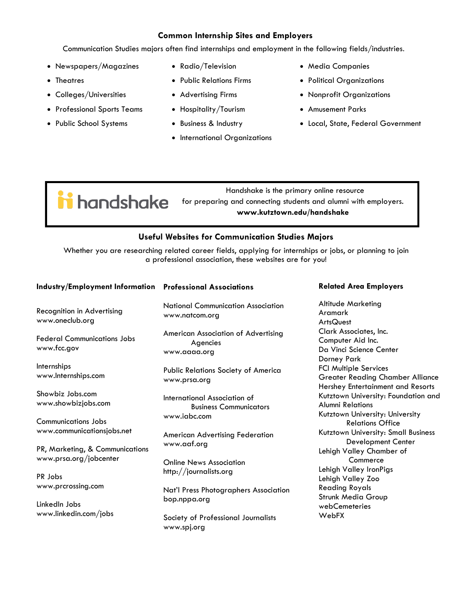### **Common Internship Sites and Employers**

Communication Studies majors often find internships and employment in the following fields/industries.

- Newspapers/Magazines
- Theatres
- Colleges/Universities
- Professional Sports Teams
- Public School Systems
- Radio/Television
- Public Relations Firms
- Advertising Firms
- Hospitality/Tourism
- Business & Industry
- International Organizations
- Media Companies
- Political Organizations
- Nonprofit Organizations
- Amusement Parks
- Local, State, Federal Government

**in** handshake

 Handshake is the primary online resource for preparing and connecting students and alumni with employers.

**www.kutztown.edu/handshake**

### **Useful Websites for Communication Studies Majors**

Whether you are researching related career fields, applying for internships or jobs, or planning to join a professional association, these websites are for you!

| Industry/Employment Information Professional Associations |                                                                 | <b>Related Area Employers</b>                                                                                |
|-----------------------------------------------------------|-----------------------------------------------------------------|--------------------------------------------------------------------------------------------------------------|
| Recognition in Advertising<br>www.oneclub.org             | <b>National Communication Association</b><br>www.natcom.org     | <b>Altitude Marketing</b><br>Aramark<br><b>ArtsQuest</b>                                                     |
| <b>Federal Communications Jobs</b><br>www.fcc.gov         | American Association of Advertising<br>Agencies<br>www.aaaa.org | Clark Associates, Inc.<br>Computer Aid Inc.<br>Da Vinci Science Center<br>Dorney Park                        |
| Internships<br>www.Internships.com                        | Public Relations Society of America<br>www.prsa.org             | <b>FCI Multiple Services</b><br><b>Greater Reading Chamber Alliance</b><br>Hershey Entertainment and Resorts |
| Showbiz Jobs.com<br>www.showbizjobs.com                   | International Association of<br><b>Business Communicators</b>   | Kutztown University: Foundation and<br><b>Alumni Relations</b><br>Kutztown University: University            |
| Communications Jobs<br>www.communicationsjobs.net         | www.iabc.com<br><b>American Advertising Federation</b>          | <b>Relations Office</b><br>Kutztown University: Small Business                                               |
| PR, Marketing, & Communications<br>www.prsa.org/jobcenter | www.aaf.org<br><b>Online News Association</b>                   | <b>Development Center</b><br>Lehigh Valley Chamber of<br>Commerce                                            |
| PR Jobs<br>www.prcrossing.com                             | http://journalists.org                                          | Lehigh Valley IronPigs<br>Lehigh Valley Zoo<br><b>Reading Royals</b>                                         |
| LinkedIn Jobs                                             | Nat'l Press Photographers Association<br>bop.nppa.org           | Strunk Media Group<br>webCemeteries                                                                          |
| www.linkedin.com/jobs                                     | Society of Professional Journalists<br>www.spj.org              | WebFX                                                                                                        |
|                                                           |                                                                 |                                                                                                              |